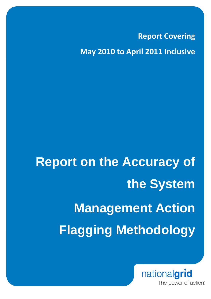**Report Covering May 2010 to April 2011 Inclusive**

# **Report on the Accuracy of the System Management Action Flagging Methodology**

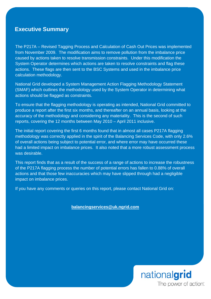# **Executive Summary**

The P217A – Revised Tagging Process and Calculation of Cash Out Prices was implemented from November 2009. The modification aims to remove pollution from the imbalance price caused by actions taken to resolve transmission constraints. Under this modification the System Operator determines which actions are taken to resolve constraints and flag these actions. These flags are then sent to the BSC Systems and used in the imbalance price calculation methodology.

National Grid developed a System Management Action Flagging Methodology Statement (SMAF) which outlines the methodology used by the System Operator in determining what actions should be flagged as constraints.

To ensure that the flagging methodology is operating as intended, National Grid committed to produce a report after the first six months, and thereafter on an annual basis, looking at the accuracy of the methodology and considering any materiality. This is the second of such reports, covering the 12 months between May 2010 – April 2011 inclusive.

The initial report covering the first 6 months found that in almost all cases P217A flagging methodology was correctly applied in the spirit of the Balancing Services Code, with only 2.6% of overall actions being subject to potential error, and where error may have occurred these had a limited impact on imbalance prices. It also noted that a more robust assessment process was desirable.

This report finds that as a result of the success of a range of actions to increase the robustness of the P217A flagging process the number of potential errors has fallen to 0.88% of overall actions and that those few inaccuracies which may have slipped through had a negligible impact on imbalance prices.

If you have any comments or queries on this report, please contact National Grid on:

## **balancingservices@uk.ngrid.com**

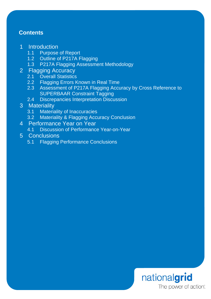# **Contents**

# 1 Introduction

- 1.1 Purpose of Report
- 1.2 Outline of P217A Flagging
- 1.3 P217A Flagging Assessment Methodology
- 2 Flagging Accuracy
	- 2.1 Overall Statistics
	- 2.2 Flagging Errors Known in Real Time
	- 2.3 Assessment of P217A Flagging Accuracy by Cross Reference to SUPERBAAR Constraint Tagging
	- 2.4 Discrepancies Interpretation Discussion

# 3 Materiality

- 3.1 Materiality of Inaccuracies
- 3.2 Materiality & Flagging Accuracy Conclusion
- 4 Performance Year on Year
	- 4.1 Discussion of Performance Year-on-Year
- 5 Conclusions
	- 5.1 Flagging Performance Conclusions

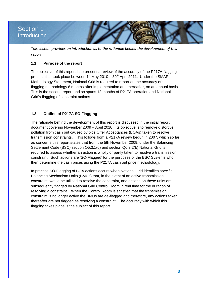# Section 1 **Introduction**

*This section provides an introduction as to the rationale behind the development of this report.*

# **1.1 Purpose of the report**

The objective of this report is to present a review of the accuracy of the P217A flagging process that took place between  $1<sup>st</sup>$  May 2010 –  $30<sup>th</sup>$  April 2011. Under the SMAF Methodology Statement, National Grid is required to report on the accuracy of the flagging methodology 6 months after implementation and thereafter, on an annual basis. This is the second report and so spans 12 months of P217A operation and National Grid's flagging of constraint actions.

## **1.2 Outline of P217A SO Flagging**

The rationale behind the development of this report is discussed in the initial report document covering November 2009 – April 2010. Its objective is to remove distortive pollution from cash out caused by bids Offer Acceptances (BOAs) taken to resolve transmission constraints. This follows from a P217A review begun in 2007, which so far as concerns this report states that from the 5th November 2009, under the Balancing Settlement Code (BSC) section Q5.3.1(d) and section Q6.3.2(b) National Grid is required to assess whether an action is wholly or partly taken to resolve a transmission constraint. Such actions are 'SO-Flagged' for the purposes of the BSC Systems who then determine the cash prices using the P217A cash out price methodology.

In practice SO-Flagging of BOA actions occurs when National Grid identifies specific Balancing Mechanism Units (BMUs) that, in the event of an active transmission constraint, would be utilised to resolve the constraint, and actions on these units are subsequently flagged by National Grid Control Room in real time for the duration of resolving a constraint . When the Control Room is satisfied that the transmission constraint is no longer active the BMUs are de-flagged and therefore, any actions taken thereafter are not flagged as resolving a constraint. The accuracy with which this flagging takes place is the subject of this report.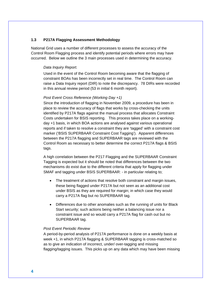#### **1.3 P217A Flagging Assessment Methodology**

National Grid uses a number of different processes to assess the accuracy of the Control Room Flagging process and identify potential periods where errors may have occurred. Below we outline the 3 main processes used in determining the accuracy.

#### *Data Inquiry Report.*

Used in the event of the Control Room becoming aware that the flagging of constraint BOAs has been incorrectly set in real time. The Control Room can raise a Data Inquiry report (DIR) to note the discrepancy. 78 DIRs were recorded in this annual review period (53 in initial 6 month report).

#### *Post Event Cross Reference (Working Day +1)*

Since the introduction of flagging in November 2009, a procedure has been in place to review the accuracy of flags that works by cross-checking the units identified by P217A flags against the manual process that allocates Constraint Costs undertaken for BSIS reporting. This process takes place on a workingday +1 basis, in which BOA actions are analysed against various operational reports and if taken to resolve a constraint they are 'tagged' with a constraint cost marker ('BSIS SUPERBAAR Constraint Cost Tagging'). Apparent differences between the P217A flagging and SUPERBAAR tags are reviewed with the Control Room as necessary to better determine the correct P217A flags & BSIS tags.

A high correlation between the P217 Flagging and the SUPERBAAR Constraint Tagging is expected but it should be noted that differences between the two mechanisms do exist due to the different criteria that apply for flagging under SMAF and tagging under BSIS SUPERBAAR: - in particular relating to;

- The treatment of actions that resolve both constraint and margin issues, these being flagged under P217A but not seen as an additional cost under BSIS as they are required for margin; in which case they would carry a P217A flag but no SUPERBAAR tag.
- Differences due to other anomalies such as the running of units for Black Start security; such actions being neither a balancing issue nor a constraint issue and so would carry a P217A flag for cash out but no SUPERBAAR tag.

#### *Post Event Periodic Review*

A period-by-period analysis of P217A performance is done on a weekly basis at week +1, in which P217A flagging & SUPERBAAR tagging is cross-matched so as to give an indication of incorrect, under/ over-tagging and missing flagging/tagging issues. This picks up on any data which may have been missing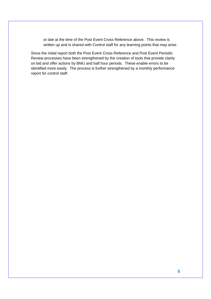or late at the time of the Post Event Cross Reference above. This review is written up and is shared with Control staff for any learning points that may arise.

Since the initial report both the Post Event Cross Reference and Post Event Periodic Review processes have been strengthened by the creation of tools that provide clarity on bid and offer actions by BMU and half hour periods. These enable errors to be identified more easily. The process is further strengthened by a monthly performance report for control staff.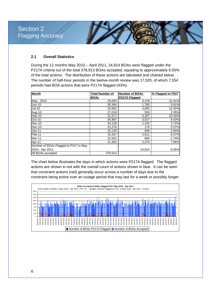Section 2 Flagging Accuracy

#### **2.1 Overall Statistics**

During the 12 months May 2010 – April 2011, 24,814 BOAs were flagged under the P217A criteria out of the total 378,913 BOAs accepted, equating to approximately 6.55% of the total actions. The distribution of these actions are tabulated and charted below. The number of half-hour periods in the twelve-month review was 17,520, of which 7,554 periods had BOA actions that were P217A flagged (43%).

| <b>Month</b>                          | <b>Total Number of</b> | <b>Number of BOAs</b> | % Flagged to P217 |  |
|---------------------------------------|------------------------|-----------------------|-------------------|--|
|                                       | <b>BOAs</b>            | P217A Flagged         |                   |  |
| May - 2010                            | 29,060                 | 4,478                 | 15.41%            |  |
| <b>Jun-10</b>                         | 30,364                 | 1,765                 | 5.81%             |  |
| <b>Jul-10</b>                         | 32,652                 | 4,055                 | 12.42%            |  |
| Aug-10                                | 27,019                 | 553                   | 2.05%             |  |
| Sep-10                                | 31,671                 | 3,307                 | 10.44%            |  |
| Oct-10                                | 35,887                 | 3,027                 | 8.43%             |  |
| <b>Nov-10</b>                         | 33,126                 | 1,233                 | 3.72%             |  |
| Dec-10                                | 31,578                 | 179                   | 0.57%             |  |
| <b>Jan-11</b>                         | 32,135                 | 946                   | 2.94%             |  |
| Feb-11                                | 31,557                 | 2,011                 | 6.37%             |  |
| Mar-11                                | 32,502                 | 890                   | 2.74%             |  |
| Apr-11                                | 31,362                 | 2,370                 | 7.56%             |  |
| Number of BOAs Flagged to P217 in May |                        |                       |                   |  |
| 2010 - Apr 2011:                      |                        | 24,814                | 6.55%             |  |
| All BOAs accepted                     | 378.913                |                       |                   |  |

The chart below illustrates the days in which actions were P217A flagged. The flagged actions are shown in red with the overall count of actions shown in blue. It can be seen that constraint actions (red) generally occur across a number of days due to the constraint being active over an outage period that may last for a week or possibly longer.

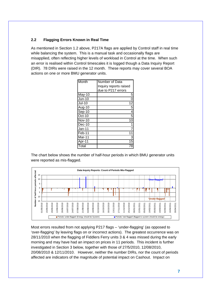## **2.2 Flagging Errors Known in Real Time**

As mentioned in Section 1.2 above, P217A flags are applied by Control staff in real time while balancing the system. This is a manual task and occasionally flags are misapplied, often reflecting higher levels of workload in Control at the time. When such an error is realised within Control timescales it is logged though a Data Inquiry Report (DIR). 78 DIRs were raised in the 12 month. These reports may cover several BOA actions on one or more BMU generator units.

| Month                        | Number of Data         |
|------------------------------|------------------------|
|                              | Inquiry reports raised |
|                              | due to P217 errors     |
| May-10                       | 5                      |
| $Jun-10$                     | 0                      |
| <b>Jul-10</b>                | 12                     |
| Aug-10                       | 5                      |
| Sep-10                       | $\overline{4}$         |
| Oct-10                       | 5                      |
| <b>Nov-10</b>                | 10                     |
| Dec-10                       | 1                      |
| Jan-11                       |                        |
| Feb-11                       | 11                     |
| Mar-11                       | 3                      |
| Apr-11                       | 15                     |
| $\overline{\mathsf{T}}$ otal | 8                      |

The chart below shows the number of half-hour periods in which BMU generator units were reported as mis-flagged.



Most errors resulted from not applying P217 flags – 'under-flagging' (as opposed to 'over-flagging' by leaving flags on or incorrect actions). The greatest occurrence was on 28/11/2010 when the flagging of Fiddlers Ferry units 3 & 4 was missed during the early morning and may have had an impact on prices in 11 periods. This incident is further investigated in Section 3 below, together with those of 27/5/2010, 12/08/2010, 20/08/2010 & 12/11/2010. However, neither the number DIRs, nor the count of periods affected are indicators of the magnitude of potential impact on Cashout. Impact on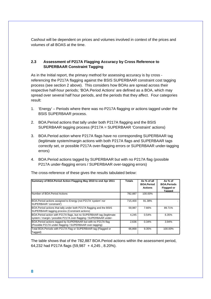Cashout will be dependent on prices and volumes involved in context of the prices and volumes of all BOAS at the time.

## **2.3 Assessment of P217A Flagging Accuracy by Cross Reference to SUPERBAAR Constraint Tagging**

As in the Initial report, the primary method for assessing accuracy is by cross referencing the P217A flagging against the BSIS SUPERBAAR constraint cost tagging process (see section 2 above). This considers how BOAs are spread across their respective half-hour periods; 'BOA.Period Actions' are defined as a BOA, which may spread over several half hour periods, and the periods that they affect. Four categories result:

- 1. 'Energy' Periods where there was no P217A flagging or actions tagged under the BSIS SUPERBAAR process.
- 2. BOA.Period actions that tally under both P217A flagging and the BSIS SUPERBAAR tagging process (P217A = SUPERBAAR 'Constraint' actions)
- 3. BOA.Period action where P217A flags have no corresponding SUPERBAAR tag (legitimate system/margin actions with both P217A flags and SUPERBAAR tags correctly set, or possible P217A over-flagging errors or SUPERBAAR under-tagging errors)
- 4. BOA.Period actions tagged by SUPERBAAR but with no P217A flag (possible P217A under-flagging errors / SUPERBAAR over-tagging errors)

| Summary of BOA. Period Action Flagging May 2010 to end Apr 2011                                                                            | Totals  | As % of all<br><b>BOA.Period</b><br><b>Actions</b> | As % of<br><b>BOA.Periods</b><br><b>Flagged or</b><br><b>Tagged</b> |
|--------------------------------------------------------------------------------------------------------------------------------------------|---------|----------------------------------------------------|---------------------------------------------------------------------|
| Number of BOA. Period Actions                                                                                                              | 782.887 | 100.00%                                            |                                                                     |
| BOA. Period actions assigned to Energy (not P217A 'system' nor<br>SUPERBAAR 'constraint')                                                  | 715.400 | 91.38%                                             |                                                                     |
| BOA. Period actions that tally under both P217A flagging and the BSIS<br>SUPERBAAR tagging process (Constraint actions)                    | 59,987  | 7.66%                                              | 89.71%                                                              |
| BOA. Period action with P217A flags, but no SUPERBAAR tag (legitimate<br>system / margin / possible P217A over-flagging / SUPERBAAR under- | 4.245   | 0.54%                                              | 6.35%                                                               |
| BOA. Period actions tagged by SUPERBAAR but with no P217A flag<br>(Possible P217A under-flagging / SUPERBAAR over-tagging)                 | 2,636   | 0.34%                                              | 3.94%                                                               |
| Total BOA. Periods with P217A Flag or SUPERBAAR tag (Flagged or<br>Tagged)                                                                 | 66,868  | 9.35%                                              | 100.00%                                                             |

The cross-reference of these gives the results tabulated below:

The table shows that of the 782,887 BOA.Period actions within the assessment period, 64,232 had P217A flags (59,987 + 4,245 , 8.20%).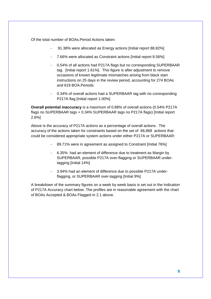Of the total number of BOAs.Period Actions taken:

- 91.38% were allocated as Energy actions [Initial report 88.82%]
- 7.66% were allocated as Constraint actions [Initial report 8.56%]
- 0.54% of all actions had P217A flags but no corresponding SUPERBAAR tag. [Initial report 1.61%]. This figure is after adjustment to remove occasions of known legitimate mismatches arising from black start instructions on 25 days in the review period, accounting for 274 BOAs and 619 BOA.Periods.
- 0.34% of overall actions had a SUPERBAAR tag with no corresponding P217A flag [Initial report 1.00%]

**Overall potential inaccuracy** is a maximum of 0.88% of overall actions (0.54% P217A flags no SUPERBAAR tags + 0.34% SUPERBAAR tags no P217A flags) [Initial report 2.6%]

Above is the accuracy of P217A actions as a percentage of overall actions. The accuracy of the actions taken for constraints based on the set of 66,868 actions that could be considered appropriate system actions under either P217A or SUPERBAAR:

- 89.71% were in agreement as assigned to Constraint [Initial 76%]
- 6.35% had an element of difference due to treatment as Margin by SUPERBAAR, possible P217A over-flagging or SUPERBAAR undertagging [Initial 14%]
- 3.94% had an element of difference due to possible P217A underflagging, or SUPERBAAR over-tagging [Initial 9%]

A breakdown of the summary figures on a week by week basis is set out in the Indication of P217A Accuracy chart below. The profiles are in reasonable agreement with the chart of BOAs Accepted & BOAs Flagged in 2.1 above*.*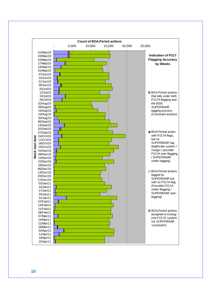

**10**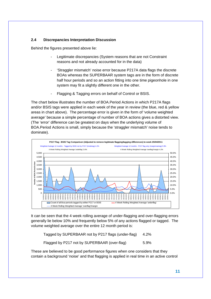## **2.4 Discrepancies Interpretation Discussion**

Behind the figures presented above lie:

- Legitimate discrepancies (System reasons that are not Constraint reasons and not already accounted for in the data)
- 'Straggler mismatch' noise error because P217A data flags the discrete BOAs whereas the SUPERBAAR system tags are in the form of discrete half hour periods and so an action fitting into one time pigeonhole in one system may fit a slightly different one in the other.
- Flagging & Tagging errors on behalf of Control or BSIS.

The chart below illustrates the number of BOA.Period Actions in which P217A flags and/or BSIS tags were applied in each week of the year in review (the blue, red & yellow areas in chart above). The percentage error is given in the form of 'volume weighted average' because a simple percentage of number of BOA actions gives a distorted view. (The 'error' difference can be greatest on days when the underlying volume of BOA.Period Actions is small, simply because the 'straggler mismatch' noise tends to dominate).



It can be seen that the 4 week rolling average of under-flagging and over-flagging errors generally lie below 10% and frequently below 5% of any actions flagged or tagged. The volume weighted average over the entire 12 month period is:

Tagged by SUPERBAAR not by P217 flags (under-flag) 4.2%

Flagged by P217 not by SUPERBAAR (over-flag) 5.9%

These are believed to be good performance figures when one considers that they contain a background 'noise' and that flagging is applied in real time in an active control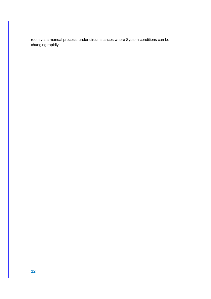room via a manual process, under circumstances where System conditions can be changing rapidly.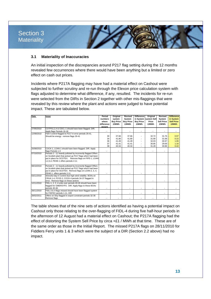# Section 3 **Materiality**

### **3.1 Materiality of Inaccuracies**

An initial inspection of the discrepancies around P217 flag setting during the 12 months revealed few occurrences where there would have been anything but a limited or zero effect on cash out prices.

Incidents where P217A flagging may have had a material effect on Cashout were subjected to further scrutiny and re-run through the Elexon price calculation system with flags adjusted to determine what difference, if any, resulted. The incidents for re-run were selected from the DIRs in Section 2 together with other mis-flaggings that were revealed by this review where the plant and actions were judged to have potential impact. These are tabulated below.

| Date       | Issue                                                                                                                                                                                                                        | Period<br>numbers<br>where<br>difference<br>occurs. | Original<br>system<br><b>Buy Price</b><br>£/MWh | Revised<br>System<br><b>Buy Price</b><br>£/MWh | <b>Difference</b><br><b>Buy Price</b><br>£/MWh | Original<br>in System System Sell<br>Price<br>£/MWh | Revised<br>System<br><b>Sell Price</b><br>£/MWh | <b>Difference</b><br>in System<br><b>Sell Price</b><br>£/MWh |
|------------|------------------------------------------------------------------------------------------------------------------------------------------------------------------------------------------------------------------------------|-----------------------------------------------------|-------------------------------------------------|------------------------------------------------|------------------------------------------------|-----------------------------------------------------|-------------------------------------------------|--------------------------------------------------------------|
| 27/05/2010 | COTPS1,2,4 & CDCL-1 should have been flagged. DIR.<br>Apply flags Periods 16-18                                                                                                                                              |                                                     |                                                 |                                                |                                                |                                                     |                                                 |                                                              |
| 12/08/2010 | Fidl-4 control flagged to P217 in error periods 29-41.<br>Should be energy - remove flags 29-41                                                                                                                              | 30<br>34<br>36<br>37<br>38                          | 37.66<br>41.80<br>41.49<br>41.41<br>40.34       | 37.66<br>41.80<br>41.49<br>41.41<br>40.34      |                                                | 32.72<br>31.90<br>32.03<br>30.85<br>31.28           | 31.76<br>31.68<br>30.97<br>29.69<br>30.86       | 0.97<br>0.22<br>1.06<br>1.16<br>0.42                         |
| 20/08/2010 | COCK-1, LOAN-1 should have been flagged. DIR. Apply<br>flags Periods 1-3                                                                                                                                                     |                                                     |                                                 |                                                |                                                |                                                     |                                                 |                                                              |
| 07/10/2010 | Periods 2 - 11 heavily polluted by incorrectly flagged Offers<br>on Scottish plant that picked up P217 flags which had been<br>put in place for SCOTEX. Remove flags on FIFE-1, LOAN-<br>1,2,3,4, PEHE-1 offers periods 2-11 |                                                     |                                                 |                                                |                                                |                                                     |                                                 |                                                              |
| 08/10/2010 | Periods 2 - 11 heavily polluted by incorrectly flagged Offers<br>on Scottish plant that picked up P217 flags which had been<br>put in place for SCOTEX. Remove flags on LOAN-2, 3, 4,<br>PEHE-1 offers periods 2-11          |                                                     |                                                 |                                                |                                                |                                                     |                                                 |                                                              |
| 03/11/2010 | Stressful day in Control due high wind volatility BOAs on<br>CRUA 1-4, FOYE-2, COCK-4 periods 34-37 flagged in<br>error. Remove flags on these actions                                                                       |                                                     |                                                 |                                                |                                                |                                                     |                                                 |                                                              |
| 12/11/2010 | FIDL-1, 2, 3, 4 units over periods 40-46 should have been<br>flagged for GMERSYP2. DIR. Apply flags to these BOAs<br>periods 40-46                                                                                           |                                                     |                                                 |                                                |                                                |                                                     |                                                 |                                                              |
| 28/11/2010 | FIDL-3 & 4 flags missed should have been flagged system<br>for FIDFEX periods 1-11. DIR                                                                                                                                      | ٠                                                   |                                                 |                                                |                                                |                                                     |                                                 |                                                              |
| 28/02/2011 | Offers on Sloy flagged in export constraint periods 32-36<br>Remove flags                                                                                                                                                    |                                                     |                                                 |                                                |                                                |                                                     |                                                 |                                                              |

The table shows that of the nine sets of actions identified as having a potential impact on Cashout only those relating to the over-flagging of FIDL-4 during five half-hour periods in the afternoon of 12 August had a material effect on Cashout; the P217A flagging had the effect of distorting the System Sell Price by circa +£1 / MWh at that time. These are of the same order as those in the Initial Report. The missed P217A flags on 28/11/2010 for Fiddlers Ferry units 1 & 3 which were the subject of a DIR (Section 2.2 above) had no impact.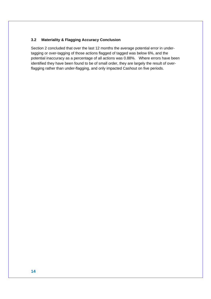## **3.2 Materiality & Flagging Accuracy Conclusion**

Section 2 concluded that over the last 12 months the average potential error in undertagging or over-tagging of those actions flagged of tagged was below 6%, and the potential inaccuracy as a percentage of all actions was 0.88%. Where errors have been identified they have been found to be of small order, they are largely the result of overflagging rather than under-flagging, and only impacted Cashout on five periods.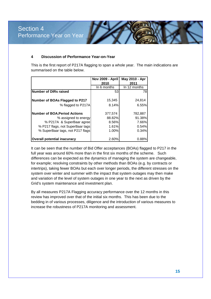#### **4 Discussion of Performance Year-on-Year**

This is the first report of P217A flagging to span a whole year. The main indications are summarised on the table below.

|                                     | Nov 2009 - April | May 2010 - Apr |
|-------------------------------------|------------------|----------------|
|                                     | 2010             | 2011           |
|                                     | In 6 months      | In 12 months   |
| <b>Number of DIRs raised</b>        | 53               | 78             |
|                                     |                  |                |
| Number of BOAs Flagged to P217      | 15,345           | 24,814         |
| % flagged to P217A                  | 8.14%            | 6.55%          |
|                                     |                  |                |
| <b>Number of BOA.Period Actions</b> | 377,574          | 782,887        |
| % assigned to energy                | 88.82%           | 91.38%         |
| % P217A & SuperBaar agree           | 8.56%            | 7.66%          |
| % P217 flags, not SuperBaar tags    | 1.61%            | 0.54%          |
| % SuperBaar tags, not P217 flags    | 1.00%            | 0.34%          |
|                                     |                  |                |
| Overall potential inacuracy         | 2.60%            | 0.88%          |

It can be seen that the number of Bid Offer acceptances (BOAs) flagged to P217 in the full year was around 60% more than in the first six months of the scheme. Such differences can be expected as the dynamics of managing the system are changeable, for example; resolving constraints by other methods than BOAs (e.g. by contracts or intertrips), taking fewer BOAs but each over longer periods, the different stresses on the system over winter and summer with the impact that system outages may then make and variation of the level of system outages in one year to the next as driven by the Grid's system maintenance and investment plan.

By all measures P217A Flagging accuracy performance over the 12 months in this review has improved over that of the initial six months. This has been due to the bedding in of various processes, diligence and the introduction of various measures to increase the robustness of P217A monitoring and assessment.